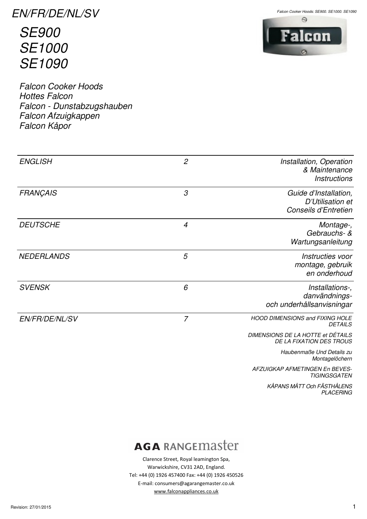EN/FR/DE/NL/SV

SE900 SE1000 SE1090

Falcon Cooker Hoods Hottes Falcon Falcon - Dunstabzugshauben Falcon Afzuigkappen Falcon Kåpor



Falcon Cooker Hoods: SE900, SE1000, SE1090



| <b>ENGLISH</b>        | $\mathfrak{2}$ | Installation, Operation<br>& Maintenance<br><b>Instructions</b>   |
|-----------------------|----------------|-------------------------------------------------------------------|
| <b>FRANÇAIS</b>       | 3              | Guide d'Installation,<br>D'Utilisation et<br>Conseils d'Entretien |
| <b>DEUTSCHE</b>       | $\overline{4}$ | Montage-,<br>Gebrauchs- &<br>Wartungsanleitung                    |
| <b>NEDERLANDS</b>     | 5              | Instructies voor<br>montage, gebruik<br>en onderhoud              |
| <b>SVENSK</b>         | 6              | Installations-,<br>danvändnings-<br>och underhållsanvisningar     |
| <b>EN/FR/DE/NL/SV</b> | $\overline{7}$ | <b>HOOD DIMENSIONS and FIXING HOLE</b><br><b>DETAILS</b>          |
|                       |                | DIMENSIONS DE LA HOTTE et DÉTAILS<br>DE LA FIXATION DES TROUS     |
|                       |                | Haubenmaße Und Details zu<br>Montagelöchern                       |
|                       |                | AFZUIGKAP AFMETINGEN En BEVES-<br><b>TIGINGSGATEN</b>             |
|                       |                |                                                                   |

KÅPANS MÅTT Och FÄSTHÅLENS PLACERING

# **AGA RANGEMASTET**

Clarence Street, Royal leamington Spa, Warwickshire, CV31 2AD, England. Tel: +44 (0) 1926 457400 Fax: +44 (0) 1926 450526 E-mail: consumers@agarangemaster.co.uk www.falconappliances.co.uk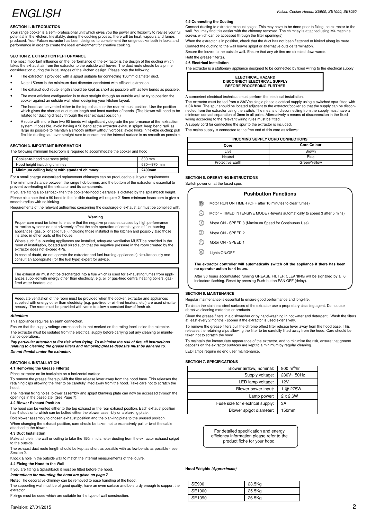### ENGLISH

#### **SECTION 1. INTRODUCTION**

Your range cooker is a semi-professional unit which gives you the power and flexibility to realise your full potential in the kitchen. Inevitably, during the cooking process, there will be heat, vapours and fumes produced. Your Falcon extractor has been designed to complement the range cooker both in looks and performance in order to create the ideal environment for creative cooking.

#### **SECTION 2. EXTRACTION PERFORMANCE**

The most important influence on the performance of the extractor is the design of the ducting which takes the exhaust air from the extractor to the outside wall louvre. The duct route should be a prime takes the exhaust air from the extractor to the outside wall louvre. The duct route should be a prime consideration during the initial stages of the kitchen design. Please note the following:

- The extractor is provided with a spigot suitable for connecting 150mm diameter duct.
- Note: 150mm is the minimum duct diameter consistent with efficient extraction
- The exhaust duct route length should be kept as short as possible with as few bends as possible.
- The most efficient configuration is to duct straight through an outside wall so try to position the cooker against an outside wall when designing your kitchen layout.
- The hood can be vented either to the top exhaust or the rear exhaust position. Use the position which gives the shortest duct route length and least number of bends. (The blower will need to be rotated for ducting directly through the rear exhaust position.)
- A route with more than two 90 bends will significantly degrade the performance of the extraction system. If possible, avoid having a 90 bend at the extractor exhaust spigot; keep bend radii as large as possible to maintain a smooth airflow without vortices; avoid kinks in flexible ducting; pull flexible ducting taut over straight runs to ensure that the internal surface is as smooth as pos

#### **SECTION 3. IMPORTANT INFORMATION**

The following minimum headroom is required to accommodate the cooker and hood:

| Cooker-to-hood clearance (min):               | 800 mm     |
|-----------------------------------------------|------------|
| Hood height including chimney:                | 680-970 mm |
| Minimum ceiling height with standard chimney: | 2400mm     |

For a small charge customised replacement chimneys can be produced to suit your requirements. The minimum distance between the range hob burners and the bottom of the extractor is essential to prevent overheating of the extractor and its components.

If you are fitting a splashback then the cooker-to-hood clearance is dictated by the splashback height. Please also note that a 90 bend in the flexible ducting will require 215mm minimum headroom to give a smooth radius with no kinking.

Requirements of the relevant authorities concerning the discharge of exhaust air must be complied with.

#### **Warning**

Proper care must be taken to ensure that the negative pressures caused by high performance extraction systems do not adversely affect the safe operation of certain types of fuel-burning appliances (gas, oil or solid fuel), including those installed in the kitchen and possibly also those installed in other parts of the house.

Where such fuel-burning appliances are installed, adequate ventilation MUST be provided in the room of installation, located and sized such that the negative pressure in the room created by the extractor does not exceed 4Pa.

In case of doubt, do not operate the extractor and fuel-burning appliance(s) simultaneously and consult an appropriate (for the fuel type) expert for advice.

The exhaust air must not be discharged into a flue which is used for exhausting fumes from appliances supplied with energy other than electricity, e.g. oil or gas-fired central heating boilers, gasfired water heaters, etc.

Adequate ventilation of the room must be provided when the cooker, extractor and appliances supplied with energy other than electricity (e.g. gas-fired or oil-fired heaters, etc.) are used simultaneously. The room must be provided with vents to allow a constant flow of fresh air.

#### **Attention:**

This appliance requires an earth connection.

Ensure that the supply voltage corresponds to that marked on the rating label inside the extractor. The extractor must be isolated from the electrical supply before carrying out any cleaning or maintenance operations.

**Pay particular attention to fire risk when frying. To minimise the risk of fire, all instructions relating to cleaning the grease filters and removing grease deposits must be adhered to. Do not flambé under the extractor.** 

#### **SECTION 4. INSTALLATION**

**4.1 Removing the Grease Filter(s)** 

Place extractor on its backplate on a horizontal surface.

To remove the grease filters pull/lift the filter release lever away from the hood base. This releases the retaining clips allowing the filter to be carefully lifted away from the hood. Take care not to scratch the hood.

The internal fixing holes, blower assembly and spigot blanking plate can now be accessed through the openings in the baseplate. (See Page 7).

#### **4.2 Blower Exhaust Position**

The hood can be vented either to the top exhaust or the rear exhaust position. Each exhaust position has 4 studs onto which can be bolted either the blower assembly or a blanking plate.

Bolt blower assembly to chosen exhaust position and the blanking plate to the unused position. When changing the exhaust position, care should be taken not to excessively pull or twist the cable attached to the blower.

#### **4.3 Duct Installation**

Make a hole in the wall or ceiling to take the 150mm diameter ducting from the extractor exhaust spigot to the outside. The exhaust duct route length should be kept as short as possible with as few bends as possible - see

Section 2.

Knock a hole in the outside wall to match the internal measurements of the louvre.

#### **4.4 Fixing the Hood to the Wall**

If you are fitting a Splashback it must be fitted before the hood.

**Instructions for mounting the hood are given on page 7** 

**Note:** The decorative chimney can be removed to ease handling of the hood.

The supporting wall must be of good quality, have an even surface and be sturdy enough to support the extractor.

Fixings must be used which are suitable for the type of wall construction.

#### **4.5 Connecting the Ducting**

Connect ducting to extractor exhaust spigot. This may have to be done prior to fixing the extractor to the wall. You may find this easier with the chimney removed. The chimney is attached using M4 machine screws which can be accessed through the filter opening(s).

When the extractor is in position, check that the duct has not been flattened or kinked along its route. Connect the ducting to the wall louvre spigot or alternative outside termination.

Secure the louvre to the outside wall. Ensure that any air fins are directed downwards. Refit the grease filter(s).

#### **4.6 Electrical Installation**

The extractor is a stationary appliance designed to be connected by fixed wiring to the electrical supply.

**ELECTRICAL HAZARD DISCONNECT ELECTRICAL SUPPLY BEFORE PROCEEDING FURTHER**

A competent electrical technician must perform the electrical installation.

The extractor must be fed from a 230Vac single phase electrical supply using a switched spur fitted with a 3A fuse. The spur should be located adjacent to the extractor/cooker so that the supply can be disconnected from the extractor using the switch. The means of disconnecting from the supply must have a minimum contact separation of 3mm in all poles. Alternatively a means of disconnection in the fixed wiring according to the relevant wiring rules must be fitted.

A supply cord for connecting the spur to the extractor is included.

The mains supply is connected to the free end of this cord as follows:

| INCOMING SUPPLY CORD CONNECTIONS |                    |  |
|----------------------------------|--------------------|--|
| Core                             | <b>Core Colour</b> |  |
| Live                             | Brown              |  |
| Neutral                          | Blue               |  |
| <b>Protective Earth</b>          | Green/Yellow       |  |

#### **SECTION 5. OPERATING INSTRUCTIONS**

Switch power on at the fused spur.

#### **Pushbutton Functions**

- $<sup>①</sup>$ </sup> Motor RUN ON TIMER (OFF after 10 minutes to clear fumes)
- Motor TIMED INTENSIVE MODE (Reverts automatically to speed 3 after 5 mins)  $\textcircled{r}$
- ∩ Motor ON - SPEED 3 (Maximum Speed for Continuous Use)
- $\odot$ Motor ON - SPEED 2
- Motor ON SPEED 1 ⋒
- ® Lights ON/OFF

**The extractor controller will automatically switch off the appliance if there has been no operator action for 4 hours.** 

After 30 hours accumulated running GREASE FILTER CLEANING will be signalled by all 6 indicators flashing. Reset by pressing Push-button FAN OFF (delay).

#### **SECTION 6. MAINTENANCE**

Regular maintenance is essential to ensure good performance and long-life.

To clean the stainless steel surfaces of the extractor use a proprietary cleaning agent. Do not use abrasive cleaning materials or products.

Clean the grease filters in a dishwasher or by hand-washing in hot water and detergent. Wash the filters at least every 2 months - sooner if the extractor is used extensively.

To remove the grease filters pull the chrome effect filter release lever away from the hood base. This releases the retaining clips allowing the filter to be carefully lifted away from the hood. Care should be taken not to scratch the hood.

To maintain the immaculate appearance of the extractor, and to minimise fire risk, ensure that grease deposits on the extractor surfaces are kept to a minimum by regular cleaning. LED lamps require no end user maintenance.

### **SECTION 7. SPECIFICATIONS**

| Blower airflow, nominal:         | $800 \text{ m}^3/\text{hr}$ |
|----------------------------------|-----------------------------|
| Supply voltage:                  | 230V~50Hz                   |
| LED lamp voltage:                | 12V                         |
| Blower power input:              | @ 275W                      |
| Lamp power:                      | $2 \times 2.6W$             |
| Fuse size for electrical supply: | ЗA                          |
| Blower spigot diameter:          | 150mm                       |

For detailed specification and energy efficiency information please refer to the product fiche for your hood.

#### **Hood Weights (Approximate)**

| SE900  | 23.5Kg |
|--------|--------|
| SE1000 | 25.5Kg |
| SE1090 | 26.5Kg |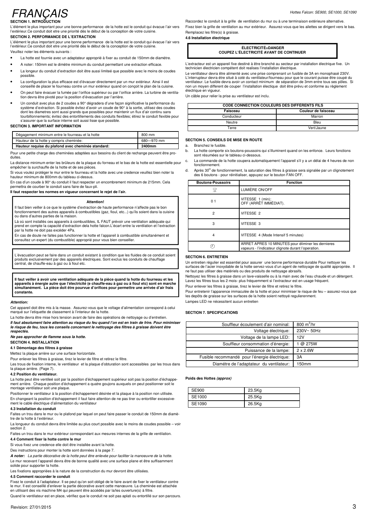## FRANÇAIS

**SECTION 1. INTRODUCTION** 

L'élément le plus important pour une bonne performance de la hotte est le conduit qui évacue l'air vers l'extérieur.Ce conduit doit etre une priorité dès le début de la conception de votre cuisine. **SECTION 2. PERFORMANCE DE L'EXTRACTION** 

L'élément le plus important pour une bonne performance de la hotte est le conduit qui évacue l'air vers l'extérieur.Ce conduit doit etre une priorité dès le début de la conception de votre cuisine. Veuillez noter les éléments suivants :

- La hotte est fournie avec un adaptateur approprié à fixer au conduit de 150mm de diamètre.
- A noter: 150mm est le dimètre minimum du conduit permettant une extraction efficace.
- La longeur du conduit d'extraction doit être aussi limiteé que possible avec le moins de coudes possible.
- La configuration la plus efficace est d'évacuer directement par un mur extérieur. Ainsi il est conseillé de placer le fourneau contre un mur extérieur quand on conçoit le plan de la cuisine.
- On peut faire évacuer la fumée par l'orifice supérieur ou par l'orifice arrière. La turbine de ventilation devra être pivoté pour la position d'évacuation par l'arrière.
- Un conduit avec plus de 2 coudes a 90° dégradera d'une façon significative la performance du système d'extraction. Si possible évitez d'avoir un coude de 90° à la sortie, utilisez des coudes dont les diametres sont aussi grands que possibles pour maintenir un flux d'air continu sans tourbillonnements; évitez des entortillements des conduits flexibles; étirez le conduit flexible pour s'assurer que la surface interne soit aussi lisse que possible.

#### **SECTION 3. IMPORTANT INFORMATION**

| 680-970 mm<br>Hauteur de la hotte y compris cheminée: | Hauteur requise du plafond avec cheminée standard: | 2400mm |
|-------------------------------------------------------|----------------------------------------------------|--------|
|                                                       |                                                    |        |
|                                                       | Dégagement minimum entre le fourneau et la hotte   | 800 mm |

Pour une petite charge des cheminées adaptées aux besoins du client de rechange peuvent être produites

La distance minimum enter les brûleurs de la plaque du forneau et le bas de la hotte est essentielle pour empêcher la surchauffe de la hotte et de ses pièces.

Si vous voulez protéger le mur entre le fourneau et la hotte avec une credence veuillez bien noter la hauteur minimum de 800mm du tableau ci-dessus.

En cas d'un coude à 90° du conduit il faut respecter un encombrement minimum de 215mm. Cela permettra de courber le conduit sans faire de faux-pli.

**Il faut respecter les normes en vigueur concernant le rejet de l'air.** 

#### **Attention!**

Il faut bien veiller à ce que le système d'extraction de haute performance n'affecte pas le bon fonctionnement des autres appareils à combustibles (gaz, fioul, etc...) qu'ils soient dans la cuisine ou dans d'autres parties de la maison.

Là où sont installés ces appareils à combustibles, IL FAUT prévoir une ventilation adéquate qui prend en compte la capacité d'extraction dela hotte falcon.L'écart entre la ventilation et l'extraction par la hotte ne doit pas excéder 4Pa.

En cas de doute ne faites pas functionner la hotte et l'appareil à combustible simultanément et consultez un expert (du combustible) approprié pour vous bien conseiller.

L'évacuation peut se faire dans un conduit existant à condition que les fluides de ce conduit soient produits exclusivement par des appareils électriques. Sont exclus les conduits de chauffage central, de chauffe-eau à gaz ou à fioul etc.

**Il faut veiller à avoir une ventilation adéquate de la pièce quand la hotte du fourneau et les appareils à énergie autre que l'électricité (e chauffe-eau à gaz ou à fioul etc) sont en marche simultanément. La pièce doit être pourvue d'orifices pour permettre une arrivée d'air frais constante.** 

#### **Attention:**

Cet appareil doit être mis à la masse. Assurez-vous que le voltage d'alimentation correspond à celui marqué sur l'etiquette de classement à l'interieur de la hotte.

La hotte devra être mise hors tension avant de faire des opérations de nettoyage ou d'entretien. **Il faut absolument faire attention au risque du feu quand l'on est en train de frire. Pour minimiser le risque de feu, tous les conseils concernant le nettoyage des filtres à graisse doivent être respectés.** 

### **Ne pas approcher de flamme sous la hotte.**

**SECTION 4. INSTALLATION** 

### **4.1 Démontage des filtres à graisse**

Mettez la plaque arrière sur une surface horizontale.

Pour enlever les filtres à graisse, tirez le levier de filtre et retirez le filtre.

Les trous de fixation interne, le ventilateur et la plaque d'obturation sont accessibles par les trous dans la plaque arrière. (Page 7).

#### **4.2 Position du ventilateur.**

La hotte peut être ventileé soit par la position d'échappement supérieur soit pas la position d'échappement arrière. Chaque position d'échappement a quatre goujons auxquels on peut positionner soit montage ventilateur soit une plaque.

Positionner le ventilateur à la position d'échappement désirée et la plaque à la position non utilisée. En changeant la position d'échappement il faut faire attention de ne pas tirer ou entortiller excessivement le cable électrique d'alimentation du ventilateur

#### **4.3 Installation du conduit**

Faites un trou dans le mur ou le plafond par lequel on peut faire passer le conduit de 150mm de diamètre de la hotte à l'extérieur.

La longueur du conduit devra être limitée au plus court possible avec le moins de coudes possible – voir section 2.

Faites un trou dans le mur extérieur correspondant aux mesures internes de la grille de ventilation.

#### **4.4 Comment fixer la hotte contre le mur**

Si vous fixez une credence elle doit être installée avant la hotte.

Des instructions pour monter la hotte sont données à la page 7.

**A noter:** La partie décorative de la hotte peut être enlevée pour faciliter la manoeuvre de la hotte. Le mur recevant l'appareil devra être de bonne qualité avec une surface plane et être suffisamment solide pour supporter la hotte.

Les fixations appropriées à la nature de la construction du mur devront être utilisées.

#### **4.5 Comment raccorder le conduit**

Fixez le conduit à l'adaptateur. Il se peut qu'on soit obligé de le faire avant de fixer le ventilateur contre le mur. Il est conseillé d'enlever la partie décorative avant cette manœuvre. La cheminée est attachée en utilisant des vis machine M4 qui peuvent être accédés par la/les ouverture(s) à filtre.

Quand le ventilateur est en place, vérifiez que le conduit ne soit pas aplati ou entortillé sur son parcours.

Raccordez le conduit à la grille de ventilation du mur ou à une terminaison extérieure alternative. Fixez bien la grille de ventilation au mur extérieur. Assurez-vous que les ailettes se dirigent vers le bas. Remplacez les filtre(s) à graisse.

#### **4.6 Installation électrique**

### **ÉLECTRICITÉ=DANGER COUPEZ L'ÉLECTRICITÉ AVANT DE CONTINUER**

L'extracteur est un appareil fixe destiné à être branché au secteur par installation électrique fixe. Un technicien électricien compétent doit realises l'installation électrique.

Le ventilateur devra être alimenté avec une prise comprenant un fusible de 3A en monophasé 230V. L'interrupteur devra étre situé à coté du ventilateur/fourneau pour que le courant puisse être coupé du L'interrupteur devra étre situé à coté du ventilateur/fourneau pour que le courant puisse être coupé du ventilateur. Le fusible devra avoir un contact minimum de séparation de 3mm entre tous ses pôles. Si non un moyen different de couper l'installation électique doit être prévu et conforme au règlement électrique en vigueur.

Un câble pour relier la prise au ventilateur est inclu.

| CODE CONNECTION COULEURS DES DIFFÉRENTS FILS |            |  |
|----------------------------------------------|------------|--|
| Couleur de faisceau<br>Faisceau              |            |  |
| Conducteur                                   | Marron     |  |
| Neutre                                       | Bleu       |  |
| Terre                                        | Vert/Jaune |  |

#### **SECTION 5. CONSEILS DE MISE EN ROUTE**

a. Branchez le fusible.

- b. La hotte comporte six boutons-poussoirs qui s'illuminent quand on les enfonce. Leurs fonctions sont résumées sur le tableau ci-dessous.
- c. La commande de la hotte coupera automatiquement l'appareil s'il y a un délai de 4 heures de non fonctionnement.
- d. Après 30<sup>H</sup> de fonctionnement, la saturation des filtres à graisse sera signalée par un clignotement<br>des 6 boutons pour réinitialiser, appuyez sur le bouton FAN OFF.

| <b>Boutons-Poussoirs</b> | <b>Fonction</b>                                                                                           |
|--------------------------|-----------------------------------------------------------------------------------------------------------|
| 믔                        | LUMIÈRE ON/OFF                                                                                            |
| 0 <sub>1</sub>           | VITESSE 1 (min);<br>OFF (ARRÊT IMMÉDIAT).                                                                 |
| 2                        | VITESSE 2                                                                                                 |
| 3                        | VITESSE 3                                                                                                 |
| 4                        | VITESSE 4 (Mode Intensif 5 minutes)                                                                       |
|                          | ARRET APRES 10 MINUTES pour éliminer les dernieres<br>vapeurs - l'indicateur clignote durant l'operation. |

#### **SECTION 6. ENTRETIEN**

Un entretien régulier est essentiel pour assurer une bonne performance durable Pour nettoyer les surfaces de l'acier inoxydable de la hotte servez-vous d'un agent de nettoyage de qualité appropriée. Il ne faut pas utiliser des matériels ou des produits de nettoyage abrasifs.

Nettoyez les filtres à graisse dans un lave-vaisselle ou à la main avec de l'eau chaude et un détergent. Lavez les filtres tous les 2 mois- plus fréquemment si l'extracteur est en usage fréquent.

Pour enlever les filtres à graisse, tirez le levier de filtre et retirez le filtre.

Pour entretenir l'apparence immaculée de la hotte et pour minimiser le risque de feu – assurez-vous que les depôts de graisse sur les surfaces de la hotte soient nettoyé regulierenment. Lampes LED ne nécessitent aucun entretien

#### **SECTION 7. SPECIFICATIONS**

| Souffleur écoulement d'air nominal:           | 800 $m^3$ /hr   |
|-----------------------------------------------|-----------------|
| Voltage électrique:                           | 230V~50Hz       |
| Voltage de la lampe LED:                      | 12V             |
| Souffleur consommation d'énergie:             | 1 @ 275W        |
| Puissance de la lampe:                        | $2 \times 2.6W$ |
| Fusible recommandé pour l'énergie électrique: | 3A              |
| Diamétre de l'adaptateur du ventilateur:      | 150mm           |
|                                               |                 |

#### **Poids des Hottes (approx)**

| SE900  | 23.5Kg |
|--------|--------|
| SE1000 | 25.5Kg |
| SE1090 | 26.5Kg |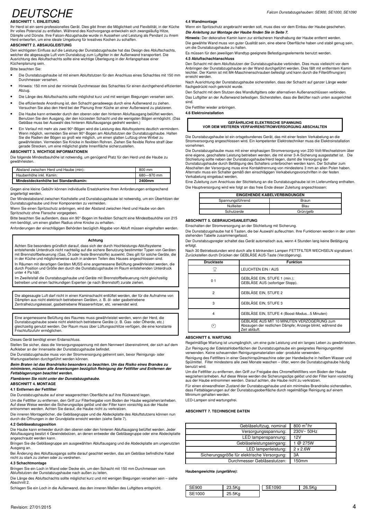### **DEUTSCHE ABSCHNITT 1. EINLEITUNG**

Ihr Herd ist ein semi-professionelles Gerät. Dies gibt Ihnen die Möglichkeit und Flexibilität, in der Küche Ihr volles Potenzial zu entfalten. Während des Kochvorgangs entwickeln sich zwangsläufig Hitze, Dämpfe und Dünste. Ihre Falcon-Abzugshaube wurde in Aussehen und Leistung als Pendant zu ihrem Herd entworfen, um eine ideale Umgebung für kreatives Kochen zu schaffen.

#### **ABSCHNITT 2. ABSAUGLEISTUNG**

Den wichtigsten Einfluss auf die Leistung der Dunstabzugshaube hat das Design des Abluftschachts, welcher die abgesaugte Luft vom Dunstabzug zum Luftgitter in der Außenwand transportiert. Die Ausrichtung des Abluftschachts sollte eine wichtige Überlegung in der Anfangsphase einer Küchenplanung sein.

Bitte beachten Sie:

- Die Dunstabzugshaube ist mit einem Abluftstutzen für den Anschluss eines Schachtes mit 150 mm Durchmesser versehen.
- Hinweis: 150 mm sind der minimale Durchmesser des Schachtes für einen durchgehend effizienten Abzug.
- Die Länge des Abluftschachts sollte möglichst kurz und mit wenigen Biegungen versehen sein.
- Die effizienteste Anordnung ist, den Schacht geradewegs durch eine Außenwand zu ziehen. Versuchen Sie also den Herd bei der Planung Ihrer Küche an einer Außenwand zu platzieren.
- Die Haube kann entweder durch den oberen oder den hinteren Abluftausgang belüftet werden. Benutzen Sie den Ausgang, der den kürzesten Schacht und die wenigsten Bögen ermöglicht. (Das Gebläse muss bei Auswahl des hinteren Abluftausgangs gedreht werden.)
- Ein Verlauf mit mehr als zwei 90°-Bögen wird die Leistung des Abluftsystems deutlich vermindern. Wenn möglich, vermeiden Sie einen 90°-Bogen am Abluftstutzen der Dunstabzugshaube. Halten Sie die Radien der Bögen so groß wie möglich, um einen glatten Luftzug ohne Wirbel zu gewährleisten. Vermeiden Sie Knicke in flexiblen Rohren. Ziehen Sie flexible Rohre straff über gerade Strecken, um eine möglichst glatte Innenfläche sicherzustellen.

#### **ABSCHNITT 3. WICHTIGE INFORMATIONEN**

Die folgende Mindestbauhöhe ist notwendig, um genügend Platz für den Herd und die Haube zu gewährleisten.

| Mindestdeckenhöhe bei Standardkamin:   | 2400mm     |
|----------------------------------------|------------|
| Haubenhöhe inkl. Kamin:                | 680-970 mm |
| Abstand zwischen Herd und Haube (min): | 800 mm     |

Gegen eine kleine Gebühr können individuelle Ersatzkamine Ihren Anforderungen entsprechend angefertigt werden.

Der Mindestabstand zwischen Kochstelle und Dunstabzugshaube ist notwendig, um ein Überhitzen der Dunstabzugshaube und ihrer Komponenten zu vermeiden.

Wenn Sie einen Spritzschutz anbringen, wird der Abstand zwischen Herd und Haube von dem

Spritzschutz ohne Flansche vorgegeben. Bitte beachten Sie außerdem, dass ein 90°-Bogen im flexiblen Schacht eine Mindestbauhöhe von 215 mm benötigt, um einen glatten Radius ohne Knicke zu erhalten.

Anforderungen der einschlägigen Behörden bezüglich Abgabe von Abluft müssen eingehalten werden.

#### **Achtung**

Achten Sie besonders gründlich darauf, dass sich der durch Hochleistungs-Abluftsysteme entstehende Unterdruck nicht nachteilig auf die sichere Benutzung bestimmter Typen von Geräten mit Brennstoffbefeuerung (Gas, Öl oder feste Brennstoffe) auswirkt. Dies gilt für solche Geräte, die in der Küche und möglicherweise auch in anderen Teilen des Hauses angeschlossen sind. In Räumen mit derartigen Geräten MUSS eine angemessene Belüftung gewährleistet werden, die

durch Position und Größe den durch die Dunstabzugshaube im Raum entstehenden Unterdruck unter 4 Pa hält.

Im Zweifelsfall die Dunstabzugshaube und Geräte mit Brennstoffbefeuerung nicht gleichzeitig betreiben und einen fachkundigen Experten (je nach Brennstoff) zurate ziehen.

Die abgesaugte Luft darf nicht in einen Kaminschacht entlüftet werden, der für die Aufnahme von Dämpfen aus nicht elektrisch betriebenen Geräten, z. B. öl- oder gasbetriebene Zentralheizungskessel, gasbetriebene Wassererhitzer, etc. verwendet wird.

Eine angemessene Belüftung des Raumes muss gewährleistet werden, wenn der Herd, die Dunstabzugshaube sowie nicht elektrisch betriebene Geräte (z. B. Gas- oder Ölherde, etc.) gleichzeitig genutzt werden. Der Raum muss über Lüftungsschlitze verfügen, die eine konstante Frischluftzufuhr ermöglichen.

Dieses Gerät benötigt einen Erdanschluss.

Stellen Sie sicher, dass die Versorgungsspannung mit dem Nennwert übereinstimmt, der sich auf dem Aufkleber an der Innenseite der Dunstabzugshaube befindet.

Die Dunstabzugshaube muss von der Stromversorgung getrennt sein, bevor Reinigungs- oder Wartungsarbeiten durchgeführt werden können.

**Beim Braten ist das Brandrisiko besonders zu beachten. Um das Risiko eines Brandes zu minimieren, müssen alle Anweisungen bezüglich Reinigung der Fettfilter und Entfernen der** 

**Fettablagerungen beachtet werden. Flambieren Sie nicht unter der Dunstabzugshaube.** 

**ABSCHNITT 4. MONTAGE** 

#### **4.1 Entfernen der Fettfilter**

Die Dunstabzugshaube auf einer waagerechten Oberfläche auf ihre Rückwand legen.

Um die Fettfilter zu entfernen, den Griff zur Filterfreigabe vom Boden der Haube wegziehen/anheben. Auf diese Weise werden die Sicherungsclips gelöst und der Filter kann vorsichtig aus der Haube entnommen werden. Achten Sie darauf, die Haube nicht zu verkratzen.

Die inneren Montagelöcher, die Gebläsegruppe und die Abdeckplatte des Abluftstutzens können nun durch die Öffnungen in der Grundplatte erreicht werden (siehe Seite 7).

#### **4.2 Gebläseabzugposition**

Die Haube kann entweder durch den oberen oder den hinteren Abluftausgang belüftet werden. Jeder Abluftausgang besitzt 4 Gewindebolzen, an denen entweder die Gebläsegruppe oder eine Abdeckplatte angeschraubt werden kann.

Bringen Sie die Gebläsegruppe am ausgewählten Abluftausgang und die Abdeckplatte am ungenutzten Ausgang an.

Bei Änderung des Abluftausgangs sollte darauf geachtet werden, das am Gebläse befindliche Kabel nicht zu stark zu ziehen oder zu verdrehen.

#### **4.3 Schachtmontage**

Bringen Sie ein Loch in Wand oder Decke ein, um den Schacht mit 150 mm Durchmesser vom Abluftstutzen der Dunstabzugshaube nach außen zu leiten.

Die Länge des Abluftschachts sollte möglichst kurz und mit wenigen Biegungen versehen sein – siehe Abschnitt 2.

Schlagen Sie ein Loch in die Außenwand, das den inneren Maßen des Luftgitters entspricht.

#### **4.4 Wandmontage**

Wenn ein Spritzschutz angebracht werden soll, muss dies vor dem Einbau der Haube geschehen. **Die Anleitung zur Montage der Haube finden Sie in Seite 7.** 

**Hinweis:** Der dekorative Kamin kann zur einfacheren Handhabung der Haube entfernt werden. Die gewählte Wand muss von guter Qualität sein, eine ebene Oberfläche haben und stabil genug sein,

um die Dunstabzugshaube zu halten. Es müssen für den jeweiligen Wandtyp geeignete Befestigungselemente benutzt werden.

#### **4.5 Abluftschachtanschluss**

Den Schacht mit dem Abluftstutzen der Dunstabzugshaube verbinden. Dies muss vielleicht vor dem Anbringen der Dunstabzugshaube an der Wand durchgeführt werden. Dies fällt mit entferntem Kamin leichter. Der Kamin ist mit M4-Maschinenschrauben befestigt und kann durch die Filteröffnung(en) erreicht werden.

Nach Ausrichtung der Dunstabzugshaube sicherstellen, dass der Schacht auf ganzer Länge weder flachgedrückt noch geknickt wurde.

Den Schacht mit dem Stutzen des Wandluftgitters oder alternativen Außenanschlüssen verbinden.

Das Luftgitter an der Außenwand befestigen. Sicherstellen, dass die Belüfter nach unten ausgerichtet sind.

Die Fettfilter wieder anbringen.

**4.6 Elektroinstallation** 

**GEFÄHRLICHE ELEKTRISCHE SPANNUNG VOR DEM WEITEREN VERFAHRENSTROMVERSORGUNG ABSCHALTEN**

Die Dunstabzugshaube ist ein ortsgebundenes Gerät, das mit einer festen Verkabelung an die Stromversorgung angeschlossen wird. Ein kompetenter Elektrotechniker muss die Elektroinstallation vornehmen.

Die Dunstabzugshaube muss mit einer einphasigen Stromversorgung von 230-Volt-Wechselstrom über eine eigene, geschaltete Leistung betrieben werden, die mit einer 3-A-Sicherung ausgestattet ist. Die<br>Stichleitung sollte neben der Dunstabzugshaube/Herd liegen, damit die Versorgung der

Dunstabzugshaube durch Betätigung des Schalters unterbrochen werden kann. Der Schalter zum<br>Abschalten der Versorgung muss eine Kontakttrennung von mindestens 3 mm an allen Polen haben.<br>Alternativ muss ein Schalter gemäß de Verkabelung eingebaut werden.

Eine Zuleitung zum Anschluss der Stichleitung an die Dunstabzugshaube ist im Lieferumfang enthalten. Die Hauptversorgung wird wie folgt an das freie Ende dieser Zuleitung angeschlossen:

| EINGEHENDE KABELVERBINDUNGEN |           |  |
|------------------------------|-----------|--|
| Spannungsführend             | Braun     |  |
| Nullleiter                   | Blau      |  |
| Schutzerde                   | Grün/gelb |  |

#### **ABSCHNITT 5. GEBRAUCHSANLEITUNG**

Einschalten der Stromversorgung an der Stichleitung mit Sicherung.

Die Dunstabzugshaube hat 6 Tasten, die bei Auswahl aufleuchten. Ihre Funktionen werden in der unten stehenden Tabelle zusammengefasst.

Der Dunstabzugsregler schaltet das Gerät automatisch aus, wenn 4 Stunden lang keine Betätigung erfolgt.

Nach 30 Betriebsstunden wird durch alle 6 blinkenden Lampen FETTFILTER WECHSELN signalisiert. Zurückstellen durch Drücken der GEBLÄSE AUS-Taste (Verzögerung).

| <b>Drucktaste</b> | <b>Funktion</b>                                                                                                            |
|-------------------|----------------------------------------------------------------------------------------------------------------------------|
| 믔                 | LEUCHTEN EIN / AUS                                                                                                         |
| 0 <sub>1</sub>    | GEBLÄSE EIN, STUFE 1 (min.);<br>GEBLÄSE AUS (sofortiger Stopp).                                                            |
| 2                 | <b>GEBLÄSE EIN, STUFE 2</b>                                                                                                |
| 3                 | <b>GEBLÄSE EIN, STUFE 3</b>                                                                                                |
| 4                 | GEBLÄSE EIN, STUFE 4 (Boost-Modus5 Minuten)                                                                                |
|                   | GEBLÄSE AUS MIT 10 MINUTEN VERZÖGERUNG zum<br>Absaugen der restlichen Dämpfe; Anzeige blinkt, während die<br>Zeit abläuft. |

#### **ABSCHNITT 6. WARTUNG**

Regelmäßige Wartung ist unumgänglich, um eine gute Leistung und ein langes Leben zu gewährleisten. Zur Reinigung der Edelstahloberflächen der Dunstabzugshaube ein geeignetes Reinigungsmittel verwenden. Keine scheuernden Reinigungsmaterialien oder -produkte verwenden.

Reinigung des Fettfilters in einer Geschirrspülmaschine oder per Handwäsche in heißem Wasser und Spülmittel. Filter mindestens alle zwei Monate waschen – öfter, wenn die Dunstabzugshaube häufig benutzt wird.

Um die Fettfilter zu entfernen, den Griff zur Freigabe des Chromeffektfilters vom Boden der Haube wegziehen/anheben. Auf diese Weise werden die Sicherungsclips gelöst und der Filter kann vorsichtig aus der Haube entnommen werden. Darauf achten, die Haube nicht zu verkratzen.

Für einen einwandfreien Zustand der Dunstabzugshaube und ein minimales Brandrisiko sicherstellen, dass Fettablagerungen auf der Dunstabzugsoberfläche durch regelmäßige Reinigung auf einem Minimum gehalten werden.

LED-Lampen sind wartungsfrei.

#### **ABSCHNITT 7. TECHNISCHE DATEN**

| Gebläseluftzug, nominal                     | $800 \text{ m}^3/\text{hr}$ |
|---------------------------------------------|-----------------------------|
| Versorgungsspannung:                        | 230V~50Hz                   |
| LED lampenspannung:                         | 12V                         |
| Gebläseleistungseingang:                    | 1 @ 275W                    |
| LED lampenleistung:                         | $2 \times 2.6W$             |
| Sicherungsgröße für elektrische Versorgung: | 3A                          |
| Durchmesser Gebläsestutzen:                 | 150mm                       |
|                                             |                             |

**Haubengewichte (ungefähre):**

| <b>SE900</b> | 23.5Kg | SE1090 | 26.5Kg |
|--------------|--------|--------|--------|
| SE1000       | 25.5Kg |        |        |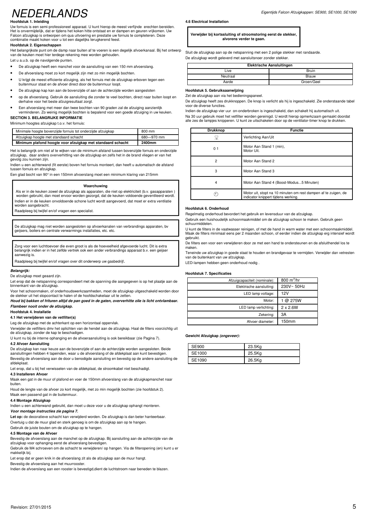## NEDERLANDS

#### **Hoofdstuk 1. Inleiding**

Uw fornuis is een semi-professioneel apparaat. U kunt hierop de meest verfijnde erechten bereiden. Het is onvermijdelijk, dat er tijdens het koken hitte ontstaat en er dampen en geuren vrijkomen. Uw Falcon afzuigkap is ontworpen om qua uitvoering en prestatie uw fornuis te completeren. Deze combinatie maakt koken voor u tot een dagelijks terugkerend feest.

#### **Hoofdstuk 2. Eigenschappen**

Het belangrijkste punt om de damp naar buiten af te voeren is een degelijk afvoerkanaal. Bij het ontwerp van de keuken moet hier terdege rekening mee worden gehouden.

- Let u a.u.b. op de navolgende punten.
- De afzuigkap heeft een manchet voor de aansluiting van een 150 mm afvoerslang.
- De afvoerslang moet zo kort mogelijk zijn met zo min mogelijk bochten.
- U krijgt de meest efficiente afzuiging, als het fornuis met de afzuigkap erboven tegen een buitenmuur staat en de afvoer direct door de buitenmuur loopt.
- De afzuigkap kap kan aan de bovenzijde of aan de achterzijde worden aangesloten
- op de afvoerslang. Gebruik de aansluiting die zonder te veel bochten, direct naar buiten loopt en derhalve voor het beste afzuigresultaat zorgt.
- Een afvoerslang met meer dan twee bochten van 90 graden zal de afzuiging aanzienlijk verminderen. Zo weinig mogelijk bochten is bepalend voor een goede afzuiging in uw keuken.

**SECTION 3. BELANGRIJKE INFORMATIE** 

#### Minimum hoogtes afzuigkap t.o.v. het fornuis:

| Minimale hoogte bovenzijde fornuis tot onderzijde afzuigkap | 800 mm     |
|-------------------------------------------------------------|------------|
| Afzuigkap hoogte met standaard schacht                      | 680-970 mm |
| Minimum plafond hoogte voor afzuigkap met standaard schacht | 2400mm     |

Het is belangrijk om niet af te wijken van de minimum afstand tussen bovenzijde fornuis en onderzijde afzuigkap, daar anders oververhitting van de afzuigkap en zelfs het in de brand vliegen er van het gevolg zou kunnen zijn.

Indien u een achterwand (fit eerste) boven het fornuis monteert, dan heeft u automatisch de afstand tussen fornuis en afzuigkap.

Een glad bocht van 90° in een 150mm afvoerslang moet een minimum klaring van 215mm

#### **Waarchuwing**

Als er in de keuken zowel de afzuigkap als apparaten, die niet op elektriciteit (b.v. gasapparaten ) worden gebruikt, dan moet ervoor worden gezorgd, dat de keuken voldoende geventileerd wordt. Indien er in de keuken onvoldoende schone lucht wordt aangevoerd, dat moet er extra ventilatie worden aangebracht.

Raadpleeg bij twijfel en/of vragen een specialist.

De afzuigkap mag niet worden aangesloten op afvoerkanalen van verbrandings apparaten, bv geijsers, boilers en centrale verwarmings installaties, etc. etc.

Zorg voor een luchttoevoer die even groot is als de hoeveelheid afgevoerde lucht. Dit is extra belangrijk indien er in het zelfde vertrek ook een ander verbrandings apparaat b.v. een geijser aanwezig is.

Raadpleeg bij twijfel en/of vragen over dit onderwerp uw gasbedrijf.

#### **Belangrijk:**

De afzuigkap moet geaard zijn.

Let erop dat de netspanning correspondeert met de spanning die aangegeven is op het plaatje aan de binnenkant van de afzuigkap.

Voor het schoonmaken, of onderhoudswerkzaamheden, moet de afzuigkap uitgeschakeld worden door de stekker uit het stopcontact te halen of de hoofdschakelaar uit te zetten.

**Houd bij bakken of frituren altijd de pan goed in de gaten, oververhitte olie is licht ontvlambaar. Flambeer nooit onder de afzuigkap.** 

#### **Hoofdstuk 4. Installatie**

**4.1 Het verwijderen van de vetfilter(s)** 

Leg de afzuigkap met de achterkant op een horizontaal oppervlak.

Verwijder de vetfilters dmv het oplichten van de hendel aan de afzuigkap. Haal de filters voorzichtig uit de afzuigkap, zonder de kap te beschadigen.

U kunt nu bij de interne ophanging en de afvoeraansluiting is ook bereikbaar (zie Pagina 7).

#### **4.2 Afvoer Aansluiting**

De afzuigkap kan naar keuze aan de bovenzijde of aan de achterzijde worden aangesloten. Beide aansluitingen hebben 4 tapeinden, waar u de afvoerslang of de afdekplaat aan kunt bevestigen. Bevestig de afvoerslang aan de door u benodigde aansluiting en bevestig op de andere aansluiting de afdekplaat.

Let erop, dat u bij het verwisselen van de afdekplaat, de stroomkabel niet beschadigt.

#### **4.3 Installeren Afvoer**

Maak een gat in de muur of plafond en voer de 150mm afvoerslang van de afzuigkapmanchet naar buiten.

Houd de lengte van de afvoer zo kort mogelijk, met zo min mogelijk bochten (zie hoofdstuk 2).

#### Maak een passend gat in de buitenmuur.

#### **4.4 Montage Afzuigkap**

Indien u een achterwand gebruikt, dan moet u deze voor u de afzuigkap ophangt monteren. **Voor montage instructies zie pagina 7.** 

Let op: de decoratieve schacht kan verwijderd worden. De afzuigkap is dan beter hanteerbaar. Overtuig u dat de muur glad en sterk genoeg is om de afzuigkap aan op te hangen. Gebruik de juiste bouten om de afzuigkap op te hangen.

#### **4.5 Montage van de Afvoer**

Bevestig de afvoerslang aan de manchet op de afzuigkap. Bij aansluiting aan de achterzijde van de afzuigkap voor ophanging eerst de afvoerslang bevestigen.

Gebruik de M4 schroeven om de schacht te verwijderen/ op hangen. Via de filteropening (en) kunt u er makkelijk bij.

Let erop dat er geen knik in de afvoerslang zit als de afzuigkap aan de muur hangt.

Bevestig de afvoerslang aan het muurrooster.

Indien de afvoerslang aan een rooster is bevestigd,dient de luchtstroom naar beneden te blazen.

**4.6 Electrical Installation** 

**Verwijder bij kortssluiting of stroomstoring eerst de stekker, alvorens verder te gaan.**

Sluit de afzuigkap aan op de netspanning met een 2 polige stekker met randaarde. De afzuigkap wordt geleverd met aansluitsnoer zonder stekker.

| <b>Elektrische Aansluitingen</b> |  |  |
|----------------------------------|--|--|
| <b>Bruin</b>                     |  |  |
| Blauw                            |  |  |
| Groen/Geel                       |  |  |
|                                  |  |  |

#### **Hoofdstuk 5. Gebruiksaanwijzing**

Zet de afzuigkan aan via het bedieningspaneel.

De afzuigkap heeft zes drukknoppen. De knop is verlicht als hij is ingeschakeld. Zie onderstaande tabel voor de diverse functies.

Indien de afzuigkap vier uur on-onderbroken is ingeschakeld, dan schakelt hij automatisch uit. Na 30 uur gebruik moet het vetfilter worden gereinigd. U wordt hierop opmerkzaam gemaakt doordat alle zes de lampjes knipperen. U kunt ze uitschakelen door op de ventilator-timer knop te drukken.

| <b>Drukknop</b> | <b>Functie</b>                                                                                        |
|-----------------|-------------------------------------------------------------------------------------------------------|
| 宗               | Verlichting Aan/Uit                                                                                   |
| 0 <sub>1</sub>  | Motor Aan Stand 1 (min),<br>Motor Uit.                                                                |
| $\overline{2}$  | Motor Aan Stand 2                                                                                     |
| 3               | Motor Aan Stand 3                                                                                     |
| 4               | Motor Aan Stand 4 (Boost-Modus5 Minuten)                                                              |
| д,              | Motor uit, stopt na 10 minuten om rest dampen af te zuigen, de<br>indicator knippert tijdens werking. |

#### **Hoofdstuk 6. Onderhoud**

Regelmatig onderhoud bevordert het gebruik en levensduur van de afzuigkap.

Gebruik een huishoudelijk schoonmaakmiddel om de afzuigkap schoon te maken. Gebruik geen schuurmiddelen.

U kunt de filters in de vaatwasser reinigen, of met de hand in warm water met een schoonmaakmiddel. Maak de filters minimaal eens per 2 maanden schoon, of eerder indien de afzuigkap erg intensief wordt gebruikt.

De filters een voor een verwijderen door ze met een hand te ondersteunen en de afsluithendel los te maken.

Teneinde uw afzuigkap in goede staat te houden en brandgevaar te vermijden. Verwijder dan vetresten van de buitenkant van uw afzuigkap.

LED-lampen hebben geen onderhoud nodig .

#### **Hoofdstuk 7. Specificaties**

| Afzuigcapaciteit (nominale): | $800 \text{ m}^3/\text{hr}$ |
|------------------------------|-----------------------------|
| Elektrische aansluiting:     | 230V~50Hz                   |
| LED lamp voltage:            | 12V                         |
| Motor:                       | @ 275W                      |
| LED lamp verlichting:        | $2 \times 2.6W$             |
| Zekering:                    | ЗA                          |
| Afvoer diameter:             | 150mm                       |

#### **Gewicht Afzuigkap (ongeveer):**

| SE900  | 23.5Kg |
|--------|--------|
| SE1000 | 25.5Kg |
| SE1090 | 26.5Kg |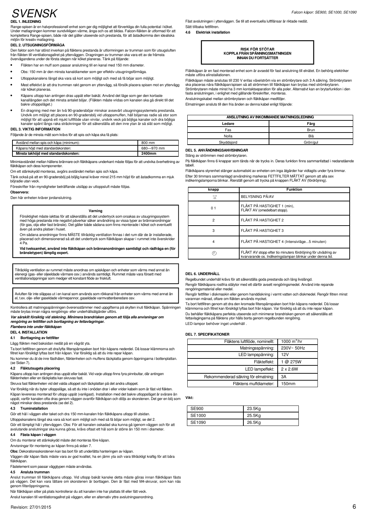## **SVENSK**

#### **DEL 1. INLEDNING**

Range-spisen är en halvprofessionell enhet som ger dig möjlighet att förverkliga din fulla potential i köket. Under matlagningen kommer oundvikligen värme, ånga och os att bildas. Falcon-fläkten är utformad för att komplettera Range-spisen, både när det gäller utseende och prestanda, för att åstadkomma den idealiska miljön för kreativ matlagning.

#### **DEL 2. UTSUGNINGSFÖRMÅGA**

Den faktor som har störst inverkan på fläktens prestanda är utformningen av trumman som för utsugsluften från fläkten till ventilationsgallret på ytterväggen. Dragningen av trumman ska vara ett av de främsta övervägandena under de första stegen när köket planeras. Tänk på följande:

- Fläkten har en muff som passar anslutning till en kanal med 150 mm diameter.
- Obs: 150 mm är den minsta kanaldiameter som ger effektiv utsugningsförmåga.
- Utloppskanalens längd ska vara så kort som möjligt och med så få böjar som möjligt.
- Mest effektivt är att dra trumman rakt genom en yttervägg, så försök placera spisen mot en yttervägg när köket plane
- Kåpans utlopp kan antingen dras uppåt eller bakåt. Använd det läge som ger den kortaste kanallängden och det minsta antalet böjar. (Fläkten måste vridas om kanalen ska gå direkt till det bakre utloppsläget.)
- En dragning med mer än två 90-gradersböjar minskar avsevärt utsugningssystemets prestanda. Undvik om möjligt att placera en 90-gradersböj vid utloppsmuffen, håll böjarnas radie så stor som möjligt för att uppnå ett mjukt luftflöde utan virvlar, undvik veck på böjliga kanaler och dra böjliga kanaler spänt längs raka sträckningar för att säkerställa att den inre ytan är så slät som möjligt.

#### **DEL 3. VIKTIG INFORMATION**

Följande är de minsta mått som krävs för att spis och kåpa ska få plats:

| Kåpans höjd med standardskorsten:                 | 680-970 mm |
|---------------------------------------------------|------------|
|                                                   |            |
| Avstånd mellan spis och kåpa (minimum):<br>800 mm |            |

Minimiavståndet mellan hällens brännare och fläktkåpans underkant måste följas för att undvika överhettning av fläktkåpan och dess komponente

Om ett stänkskydd monteras, avgörs avståndet mellan spis och kåpa.

Tänk också på att en 90-gradersböj på böjlig kanal kräver minst 215 mm höjd för att åstadkomma en mjuk böjradie utan veck.

Föreskrifter från myndigheter beträffande utsläpp av utloppsluft måste följas.

#### **Observera:**

Den här enheten kräver jordanslutning.

#### **Varning**

Försiktighet måste iakttas för att säkerställa att det undertryck som orsakas av utsugningssystem med höga prestanda inte negativt påverkar säker användning av vissa typer av brännanordningar (för gas, olja eller fast bränsle). Det gäller både sådana som finns monterade i köket och eventuellt även på andra platser i huset.

Om sådana anordningar finns MÅSTE tillräcklig ventilation finnas i det rum där de är installerade, placerad och dimensionerad så att det undertryck som fläktkåpan skapar i rummet inte överskrider 4 Pa.

**Vid tveksamhet, använd inte fläktkåpan och brännanordningen samtidigt och rådfråga en (för bränsletypen) lämplig expert.**

Tillräcklig ventilation av rummet måste anordnas om spiskåpan och enheter som värms med annat än elenergi (gas- eller oljeeldade värmare osv.) används samtidigt. Rummet måste vara försett med ventilationsöppningar som medger ett konstant flöde av friskluft.

Avluften får inte släppas ut i en kanal som används som rökkanal från enheter som värms med annat än el, t.ex. olje- eller gaseldade värmepannor, gaseldade varmvattenberedare osv.

Kontrollera att matningsspänningen överensstämmer med uppgifterna på skylten inuti fläktkåpan. Spänningen måste brytas innan några rengörings- eller underhållsåtgärder utförs.

**Var särskilt försiktig vid stekning. Minimera brandrisken genom att följa alla anvisningar om rengöring av fettfilter och borttagning av fettavlagringar.**

#### **Flambera inte under fläktkåpan**

**DEL 4. INSTALLATION**

#### **4.1 Borttagning av fettfilter**

Lägg fläkten med baksidan nedåt på en vågrät yta.

Ta bort fettfiltren genom att dra/lyfta filterspärrspaken bort från kåpans nederdel. Då lossar klämmorna och filtret kan försiktigt lyftas bort från kåpan. Var försiktig så att du inte repar kåpan.

Nu kommer du åt de inre fästhålen, fläktenheten och muffens täckplatta genom öppningarna i bottenplattan. (se Sidan 7).

#### **4.2 Fläktutsugets placering**

Kåpans utlopp kan antingen dras uppåt eller bakåt. Vid varje utlopp finns fyra pinnbultar, där antingen fläktenheten eller en täckplatta kan skruvas fast.

Skruva fast fläktenheten vid det valda utloppet och täckplattan på det andra utloppet.

Var försiktig när du byter utloppsläge, så att du inte i onödan drar i eller vrider kabeln som är fäst vid fläkten. Kåpan levereras monterad för utlopp uppåt (vanligast). Installation med det bakre utloppsläget är svårare än uppåt, varför kanalen ofta dras genom väggen ovanför fläktkåpan och döljs av skorstenen. Det ger en böj som något minskar dess prestanda (se del 2).

#### **4.3 Truminstallation**

Gör ett hål i väggen eller taket och dra 150 mm-kanalen från fläktkåpans utlopp till utsidan. Utloppskanalens längd ska vara så kort som möjligt och med så få böjar som möjligt, se del 2. Gör ett lämpligt hål i ytterväggen. Obs: För att kanalen oskadad ska kunna gå igenom väggen och för att

avslutande anslutningar ska kunna göras, krävs oftast ett hål som är större än 150 mm i diameter. **4.4 Fästa kåpan i väggen**

Om du monterar ett stänkskydd måste det monteras före kåpan.

Anvisningar för montering av kåpan finns på sidan 7.

**Obs:** Dekorationsskorstenen kan tas bort för att underlätta hanteringen av kåpan.

Väggen där kåpan fästs måste vara av god kvalitet, ha en jämn yta och vara tillräckligt kraftig för att bära fläktkåpan.

Fästelement som passar väggtypen måste användas.

#### **4.5 Ansluta trumman**

Anslut trumman till fläktkåpans utlopp. Vid utlopp bakåt kanske detta måste göras innan fläktkåpan fästs på väggen. Det kan vara lättare om skorstenen är borttagen. Den är fäst med M4-skruvar, som kan nås genom filteröppningarna.

När fläktkåpan sitter på plats kontrollerar du att kanalen inte har plattats till eller fått veck.

Anslut kanalen till ventilationsgallret på väggen, eller en alternativ yttre avslutningsanordning.

Fäst avslutningen i ytterväggen. Se till att eventuella luftflänsar är riktade nedåt. Sätt tillbaka fettfiltren.

**4.6 Elektrisk installation**



Fläktkåpan är en fast monterad enhet som är avsedd för fast anslutning till elnätet. En behörig elektriker måste utföra elinstallationen.

Fläktkåpan måste anslutas till 230 V enfas växelström via en strömbrytare och 3 A säkring. Strömbrytaren ska placeras nära fläktkåpan/spisen så att strömmen till fläktkåpan kan brytas med strömbrytaren. Strömbrytaren måste minst ha 3 mm kontaktseparation för alla poler. Alternativt kan en brytarfunktion i den fasta anslutningen, i enlighet med gällande föreskrifter, monteras.

Anslutningskabel mellan strömbrytaren och fläktkåpan medföljer.

Elmatningen ansluts till den fria änden av denna kabel enligt följande:

| ANSLUTNING AV INKOMMANDE MATNINGSLEDNING |             |  |
|------------------------------------------|-------------|--|
| Ledare                                   | Färg        |  |
| Fas                                      | <b>Brun</b> |  |
| Nolla                                    | Blå         |  |
| Skyddsjord                               | Grön/gul    |  |

#### **DEL 5. ANVÄNDNINGSANVISNINGAR**

Stäng av strömmen med strömbrytaren.

På fläktkåpan finns 6 knappar som tänds när de trycks in. Deras funktion finns sammanfattad i nedanstående tabell.

Fläktkåpans styrenhet stänger automatiskt av enheten om inga åtgärder har vidtagits under fyra timmar. Efter 30 timmars sammanlagd användning markeras FETTFILTER MÄTTAT genom att alla sex indikeringslamporna blinkar. Återställ genom att trycka på knappen FLÄKT AV (fördröjning).

| knapp                              | <b>Funktion</b>                                                                                                              |
|------------------------------------|------------------------------------------------------------------------------------------------------------------------------|
| $\overline{\overline{\mathsf{m}}}$ | BELYSNING PÅ/AV                                                                                                              |
| 0 <sub>1</sub>                     | FLÄKT PÅ HASTIGHET 1 (min),<br>FLÄKT AV (omedelbart stopp).                                                                  |
| $\overline{2}$                     | FLÄKT PÅ HASTIGHET 2                                                                                                         |
| 3                                  | FLÄKT PÅ HASTIGHET 3                                                                                                         |
| 4                                  | FLÄKT PÅ HASTIGHET 4 (Intensivläge5 minuten)                                                                                 |
|                                    | FLAKT AV stopp efter tio minuters fördröjning för utvädring av<br>kvarvarande os. Indikeringslampan blinkar under denna tid. |

#### **DEL 6. UNDERHÅLL**

Regelbundet underhåll krävs för att säkerställa goda prestanda och lång livslängd.

Rengör fläktkåpans rostfria stålytor med ett därför avsett rengöringsmedel. Använd inte repande rengöringsmaterial eller medel.

Rengör fettfilter i diskmaskin eller genom handdiskning i varmt vatten och diskmedel. Rengör filtren minst varannan månad, oftare om fläkten används mycket.

Ta bort fettfiltren genom att dra den kromade filterspärrspaken bort från kåpans nederdel. Då lossar klämmorna och filtret kan försiktigt lyftas bort från kåpan. Var försiktig så att du inte repar kåpan. Du behåller fläktkåpans perfekta utseende och minimerar brandrisken genom att säkerställa att fettavlagingarna på fläktens ytor hålls borta genom regelbunden rengöring. LED-lampor behöver inget underhåll .

#### **DEL 7. SPECIFIKATIONER**

| Fläktens luftflöde, nominellt:       | $1000 \text{ m}^3/\text{hr}$ |
|--------------------------------------|------------------------------|
| Matningsspänning:                    | 230V~50Hz                    |
| LED lampspänning:                    | 12V                          |
| Fläkteffekt:                         | 1 @ 275W                     |
| LED lampeffekt:                      | $2 \times 2.6W$              |
| Rekommenderad säkring för elmatning: | ЗΑ                           |
| Fläktens muffdiameter:               | 150mm                        |

**Vikt:** 

| <b>SE900</b> | 23.5Kg |
|--------------|--------|
| SE1000       | 25.5Kg |
| SE1090       | 26.5Kg |